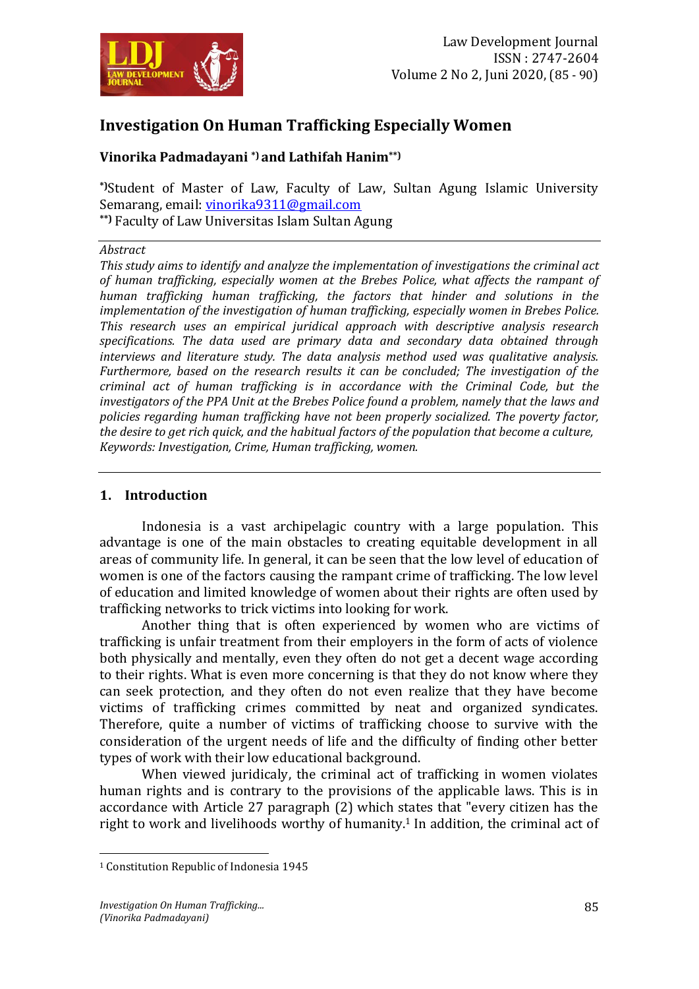

# **Investigation On Human Trafficking Especially Women**

## **Vinorika Padmadayani \*) and Lathifah Hanim\*\*)**

**\*)**Student of Master of Law, Faculty of Law, Sultan Agung Islamic University Semarang, email: [vinorika9311@gmail.com](mailto:vinorika9311@gmail.com) **\*\*)** Faculty of Law Universitas Islam Sultan Agung

#### *Abstract*

*This study aims to identify and analyze the implementation of investigations the criminal act of human trafficking, especially women at the Brebes Police, what affects the rampant of human trafficking human trafficking, the factors that hinder and solutions in the implementation of the investigation of human trafficking, especially women in Brebes Police. This research uses an empirical juridical approach with descriptive analysis research specifications. The data used are primary data and secondary data obtained through interviews and literature study. The data analysis method used was qualitative analysis. Furthermore, based on the research results it can be concluded; The investigation of the criminal act of human trafficking is in accordance with the Criminal Code, but the investigators of the PPA Unit at the Brebes Police found a problem, namely that the laws and policies regarding human trafficking have not been properly socialized. The poverty factor, the desire to get rich quick, and the habitual factors of the population that become a culture, Keywords: Investigation, Crime, Human trafficking, women.*

#### **1. Introduction**

Indonesia is a vast archipelagic country with a large population. This advantage is one of the main obstacles to creating equitable development in all areas of community life. In general, it can be seen that the low level of education of women is one of the factors causing the rampant crime of trafficking. The low level of education and limited knowledge of women about their rights are often used by trafficking networks to trick victims into looking for work.

Another thing that is often experienced by women who are victims of trafficking is unfair treatment from their employers in the form of acts of violence both physically and mentally, even they often do not get a decent wage according to their rights. What is even more concerning is that they do not know where they can seek protection, and they often do not even realize that they have become victims of trafficking crimes committed by neat and organized syndicates. Therefore, quite a number of victims of trafficking choose to survive with the consideration of the urgent needs of life and the difficulty of finding other better types of work with their low educational background.

When viewed juridicaly, the criminal act of trafficking in women violates human rights and is contrary to the provisions of the applicable laws. This is in accordance with Article 27 paragraph (2) which states that "every citizen has the right to work and livelihoods worthy of humanity. <sup>1</sup> In addition, the criminal act of

 $\overline{a}$ 

<sup>1</sup> Constitution Republic of Indonesia 1945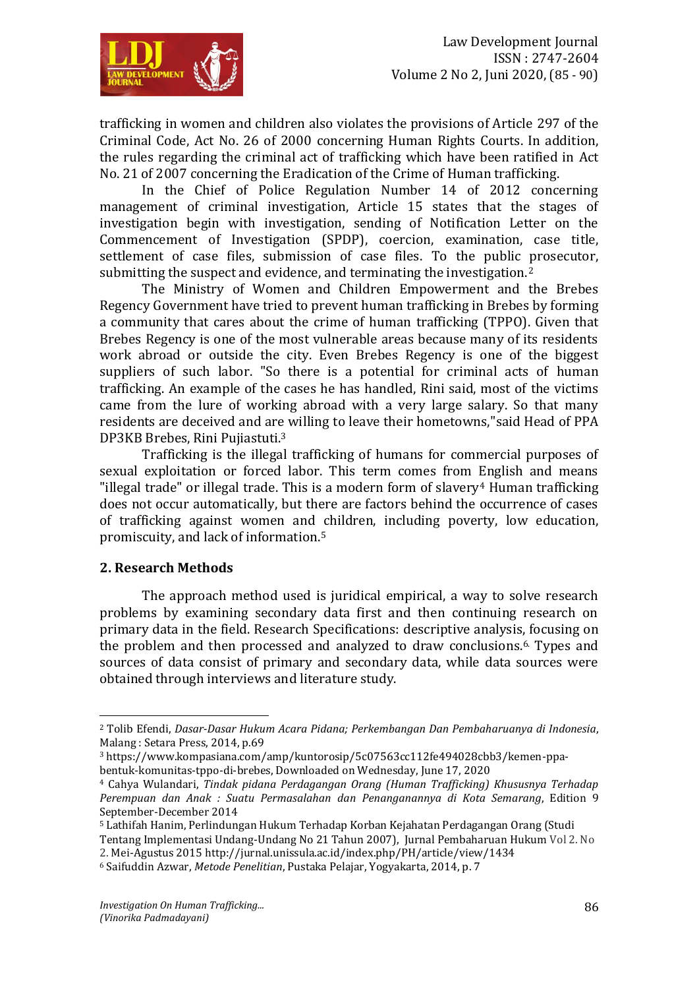

trafficking in women and children also violates the provisions of Article 297 of the Criminal Code, Act No. 26 of 2000 concerning Human Rights Courts. In addition, the rules regarding the criminal act of trafficking which have been ratified in Act No. 21 of 2007 concerning the Eradication of the Crime of Human trafficking.

In the Chief of Police Regulation Number 14 of 2012 concerning management of criminal investigation, Article 15 states that the stages of investigation begin with investigation, sending of Notification Letter on the Commencement of Investigation (SPDP), coercion, examination, case title, settlement of case files, submission of case files. To the public prosecutor, submitting the suspect and evidence, and terminating the investigation. $2$ 

The Ministry of Women and Children Empowerment and the Brebes Regency Government have tried to prevent human trafficking in Brebes by forming a community that cares about the crime of human trafficking (TPPO). Given that Brebes Regency is one of the most vulnerable areas because many of its residents work abroad or outside the city. Even Brebes Regency is one of the biggest suppliers of such labor. "So there is a potential for criminal acts of human trafficking. An example of the cases he has handled, Rini said, most of the victims came from the lure of working abroad with a very large salary. So that many residents are deceived and are willing to leave their hometowns,"said Head of PPA DP3KB Brebes, Rini Pujiastuti.<sup>3</sup>

Trafficking is the illegal trafficking of humans for commercial purposes of sexual exploitation or forced labor. This term comes from English and means "illegal trade" or illegal trade. This is a modern form of slavery<sup>4</sup> Human trafficking does not occur automatically, but there are factors behind the occurrence of cases of trafficking against women and children, including poverty, low education, promiscuity, and lack of information. 5

#### **2. Research Methods**

 $\overline{a}$ 

The approach method used is juridical empirical, a way to solve research problems by examining secondary data first and then continuing research on primary data in the field. Research Specifications: descriptive analysis, focusing on the problem and then processed and analyzed to draw conclusions. 6. Types and sources of data consist of primary and secondary data, while data sources were obtained through interviews and literature study.

<sup>2</sup> Tolib Efendi, *Dasar-Dasar Hukum Acara Pidana; Perkembangan Dan Pembaharuanya di Indonesia*, Malang : Setara Press, 2014, p.69

<sup>3</sup> [https://www.kompasiana.com/amp/kuntorosip/5c07563cc112fe494028cbb3/kemen-ppa](https://www.kompasiana.com/amp/kuntorosip/5c07563cc112fe494028cbb3/kemen-ppa-bentuk-komunitas-tppo-di-brebes)[bentuk-komunitas-tppo-di-brebes,](https://www.kompasiana.com/amp/kuntorosip/5c07563cc112fe494028cbb3/kemen-ppa-bentuk-komunitas-tppo-di-brebes) Downloaded on Wednesday, June 17, 2020

<sup>4</sup> Cahya Wulandari, *Tindak pidana Perdagangan Orang (Human Trafficking) Khususnya Terhadap Perempuan dan Anak : Suatu Permasalahan dan Penanganannya di Kota Semarang*, Edition 9 September-December 2014

<sup>5</sup> Lathifah Hanim, Perlindungan Hukum Terhadap Korban Kejahatan Perdagangan Orang (Studi

Tentang Implementasi Undang-Undang No 21 Tahun 2007), [Jurnal Pembaharuan Hukum](http://jurnal.unissula.ac.id/index.php/PH/index) Vol 2. No 2. Mei-Agustus 2015 http://jurnal.unissula.ac.id/index.php/PH/article/view/1434

<sup>6</sup> Saifuddin Azwar, *Metode Penelitian*, Pustaka Pelajar, Yogyakarta, 2014, p. 7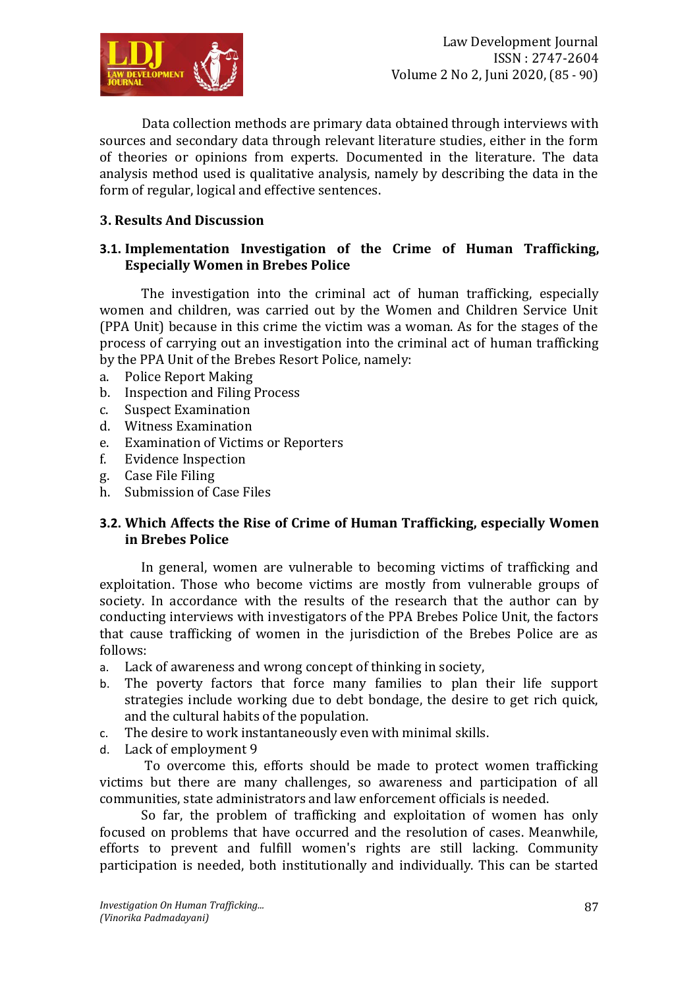

Data collection methods are primary data obtained through interviews with sources and secondary data through relevant literature studies, either in the form of theories or opinions from experts. Documented in the literature. The data analysis method used is qualitative analysis, namely by describing the data in the form of regular, logical and effective sentences.

### **3. Results And Discussion**

### **3.1. Implementation Investigation of the Crime of Human Trafficking, Especially Women in Brebes Police**

The investigation into the criminal act of human trafficking, especially women and children, was carried out by the Women and Children Service Unit (PPA Unit) because in this crime the victim was a woman. As for the stages of the process of carrying out an investigation into the criminal act of human trafficking by the PPA Unit of the Brebes Resort Police, namely:

- a. Police Report Making
- b. Inspection and Filing Process
- c. Suspect Examination
- d. Witness Examination
- e. Examination of Victims or Reporters
- f. Evidence Inspection
- g. Case File Filing
- h. Submission of Case Files

### **3.2. Which Affects the Rise of Crime of Human Trafficking, especially Women in Brebes Police**

In general, women are vulnerable to becoming victims of trafficking and exploitation. Those who become victims are mostly from vulnerable groups of society. In accordance with the results of the research that the author can by conducting interviews with investigators of the PPA Brebes Police Unit, the factors that cause trafficking of women in the jurisdiction of the Brebes Police are as follows:

- a. Lack of awareness and wrong concept of thinking in society,
- b. The poverty factors that force many families to plan their life support strategies include working due to debt bondage, the desire to get rich quick, and the cultural habits of the population.
- c. The desire to work instantaneously even with minimal skills.
- d. Lack of employment 9

To overcome this, efforts should be made to protect women trafficking victims but there are many challenges, so awareness and participation of all communities, state administrators and law enforcement officials is needed.

So far, the problem of trafficking and exploitation of women has only focused on problems that have occurred and the resolution of cases. Meanwhile, efforts to prevent and fulfill women's rights are still lacking. Community participation is needed, both institutionally and individually. This can be started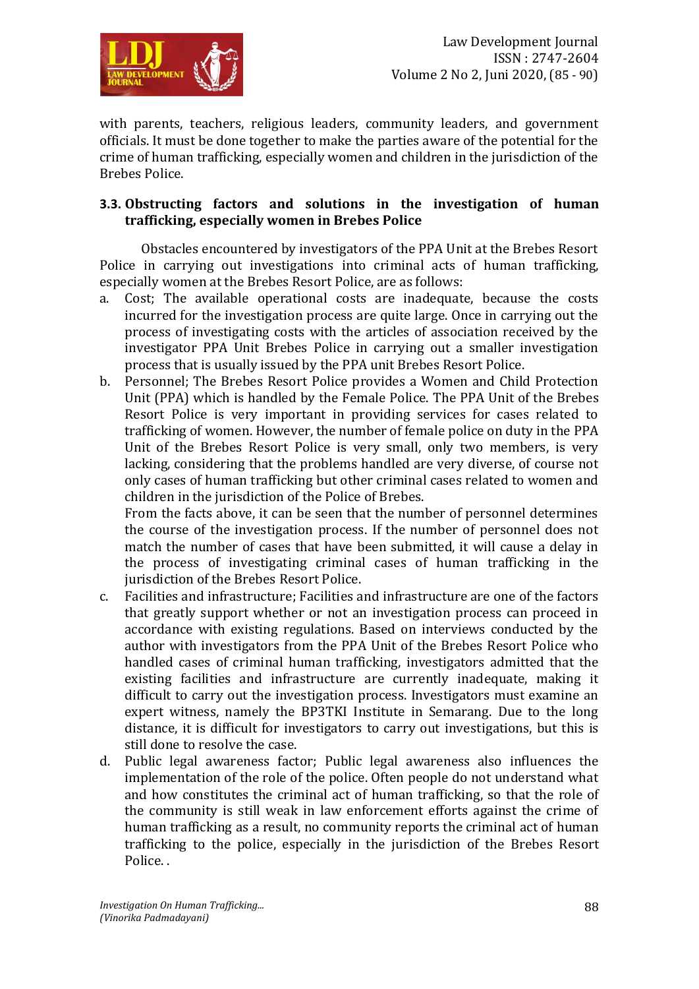

with parents, teachers, religious leaders, community leaders, and government officials. It must be done together to make the parties aware of the potential for the crime of human trafficking, especially women and children in the jurisdiction of the Brebes Police.

#### **3.3. Obstructing factors and solutions in the investigation of human trafficking, especially women in Brebes Police**

Obstacles encountered by investigators of the PPA Unit at the Brebes Resort Police in carrying out investigations into criminal acts of human trafficking, especially women at the Brebes Resort Police, are as follows:

- a. Cost; The available operational costs are inadequate, because the costs incurred for the investigation process are quite large. Once in carrying out the process of investigating costs with the articles of association received by the investigator PPA Unit Brebes Police in carrying out a smaller investigation process that is usually issued by the PPA unit Brebes Resort Police.
- b. Personnel; The Brebes Resort Police provides a Women and Child Protection Unit (PPA) which is handled by the Female Police. The PPA Unit of the Brebes Resort Police is very important in providing services for cases related to trafficking of women. However, the number of female police on duty in the PPA Unit of the Brebes Resort Police is very small, only two members, is very lacking, considering that the problems handled are very diverse, of course not only cases of human trafficking but other criminal cases related to women and children in the jurisdiction of the Police of Brebes.

From the facts above, it can be seen that the number of personnel determines the course of the investigation process. If the number of personnel does not match the number of cases that have been submitted, it will cause a delay in the process of investigating criminal cases of human trafficking in the jurisdiction of the Brebes Resort Police.

- c. Facilities and infrastructure; Facilities and infrastructure are one of the factors that greatly support whether or not an investigation process can proceed in accordance with existing regulations. Based on interviews conducted by the author with investigators from the PPA Unit of the Brebes Resort Police who handled cases of criminal human trafficking, investigators admitted that the existing facilities and infrastructure are currently inadequate, making it difficult to carry out the investigation process. Investigators must examine an expert witness, namely the BP3TKI Institute in Semarang. Due to the long distance, it is difficult for investigators to carry out investigations, but this is still done to resolve the case.
- d. Public legal awareness factor; Public legal awareness also influences the implementation of the role of the police. Often people do not understand what and how constitutes the criminal act of human trafficking, so that the role of the community is still weak in law enforcement efforts against the crime of human trafficking as a result, no community reports the criminal act of human trafficking to the police, especially in the jurisdiction of the Brebes Resort Police. .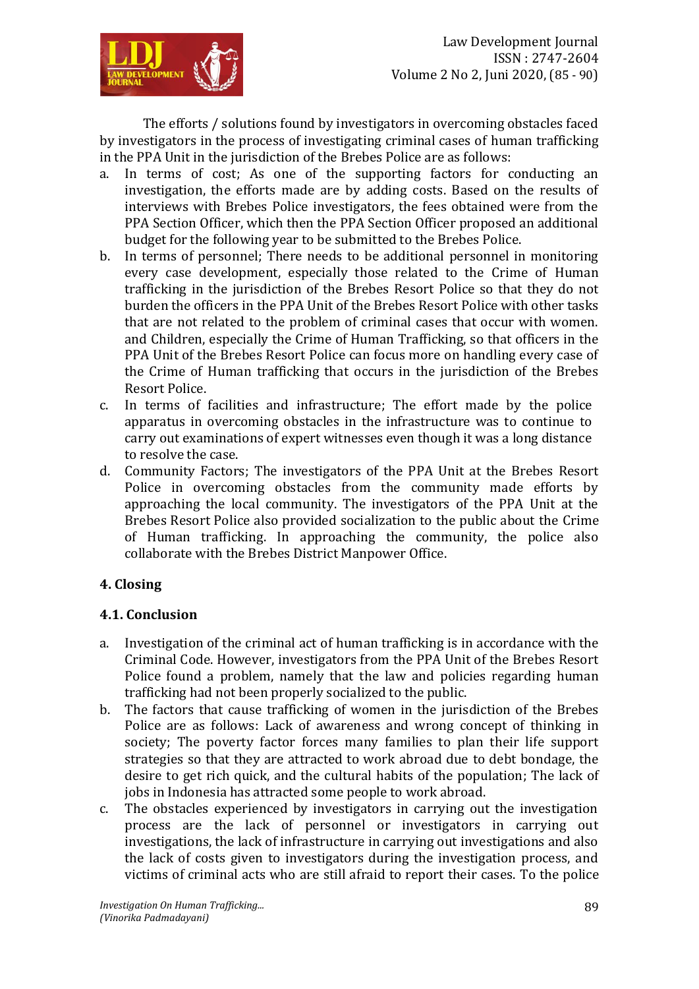

The efforts / solutions found by investigators in overcoming obstacles faced by investigators in the process of investigating criminal cases of human trafficking in the PPA Unit in the jurisdiction of the Brebes Police are as follows:

- a. In terms of cost; As one of the supporting factors for conducting an investigation, the efforts made are by adding costs. Based on the results of interviews with Brebes Police investigators, the fees obtained were from the PPA Section Officer, which then the PPA Section Officer proposed an additional budget for the following year to be submitted to the Brebes Police.
- b. In terms of personnel; There needs to be additional personnel in monitoring every case development, especially those related to the Crime of Human trafficking in the jurisdiction of the Brebes Resort Police so that they do not burden the officers in the PPA Unit of the Brebes Resort Police with other tasks that are not related to the problem of criminal cases that occur with women. and Children, especially the Crime of Human Trafficking, so that officers in the PPA Unit of the Brebes Resort Police can focus more on handling every case of the Crime of Human trafficking that occurs in the jurisdiction of the Brebes Resort Police.
- c. In terms of facilities and infrastructure; The effort made by the police apparatus in overcoming obstacles in the infrastructure was to continue to carry out examinations of expert witnesses even though it was a long distance to resolve the case.
- d. Community Factors; The investigators of the PPA Unit at the Brebes Resort Police in overcoming obstacles from the community made efforts by approaching the local community. The investigators of the PPA Unit at the Brebes Resort Police also provided socialization to the public about the Crime of Human trafficking. In approaching the community, the police also collaborate with the Brebes District Manpower Office.

## **4. Closing**

## **4.1. Conclusion**

- a. Investigation of the criminal act of human trafficking is in accordance with the Criminal Code. However, investigators from the PPA Unit of the Brebes Resort Police found a problem, namely that the law and policies regarding human trafficking had not been properly socialized to the public.
- b. The factors that cause trafficking of women in the jurisdiction of the Brebes Police are as follows: Lack of awareness and wrong concept of thinking in society; The poverty factor forces many families to plan their life support strategies so that they are attracted to work abroad due to debt bondage, the desire to get rich quick, and the cultural habits of the population; The lack of jobs in Indonesia has attracted some people to work abroad.
- c. The obstacles experienced by investigators in carrying out the investigation process are the lack of personnel or investigators in carrying out investigations, the lack of infrastructure in carrying out investigations and also the lack of costs given to investigators during the investigation process, and victims of criminal acts who are still afraid to report their cases. To the police